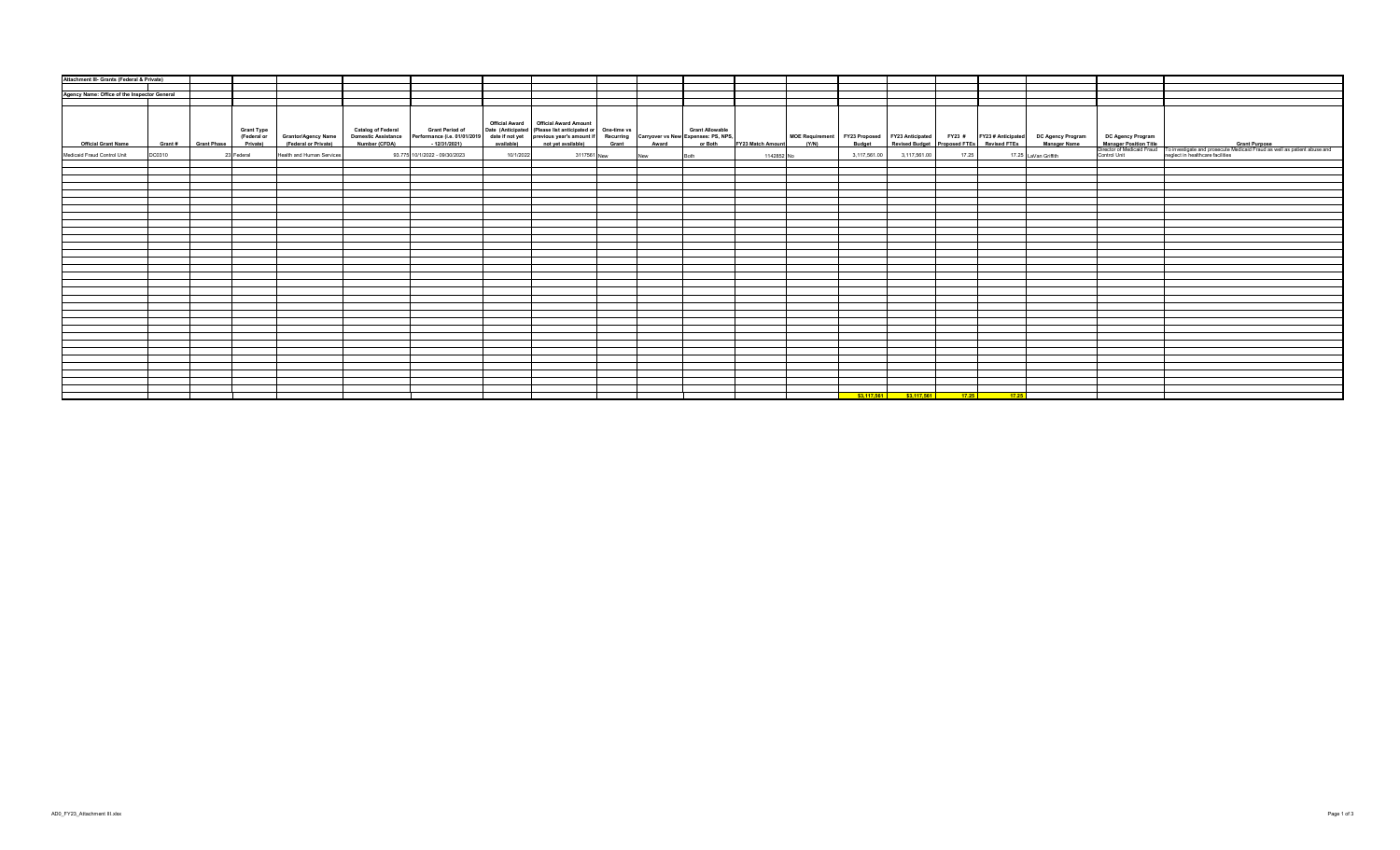| Attachment III- Grants (Federal & Private)   |        |                     |                                              |                           |                                                                                                                                                    |            |                                                                                                                                                                                                                      |       |       |                        |                           |              |              |       |                                                                                                                                                                     |                                                                                                                                                                                                                                      |
|----------------------------------------------|--------|---------------------|----------------------------------------------|---------------------------|----------------------------------------------------------------------------------------------------------------------------------------------------|------------|----------------------------------------------------------------------------------------------------------------------------------------------------------------------------------------------------------------------|-------|-------|------------------------|---------------------------|--------------|--------------|-------|---------------------------------------------------------------------------------------------------------------------------------------------------------------------|--------------------------------------------------------------------------------------------------------------------------------------------------------------------------------------------------------------------------------------|
|                                              |        |                     |                                              |                           |                                                                                                                                                    |            |                                                                                                                                                                                                                      |       |       |                        |                           |              |              |       |                                                                                                                                                                     |                                                                                                                                                                                                                                      |
|                                              |        |                     |                                              |                           |                                                                                                                                                    |            |                                                                                                                                                                                                                      |       |       |                        |                           |              |              |       |                                                                                                                                                                     |                                                                                                                                                                                                                                      |
| Agency Name: Office of the Inspector General |        |                     |                                              |                           |                                                                                                                                                    |            |                                                                                                                                                                                                                      |       |       |                        |                           |              |              |       |                                                                                                                                                                     |                                                                                                                                                                                                                                      |
|                                              |        |                     |                                              |                           |                                                                                                                                                    |            |                                                                                                                                                                                                                      |       |       |                        |                           |              |              |       |                                                                                                                                                                     |                                                                                                                                                                                                                                      |
| <b>Official Grant Name</b>                   |        | Grant # Grant Phase | <b>Grant Type</b><br>(Federal or<br>Private) | <b>Catalog of Federal</b> | <b>Grant Period of</b><br>Grantor/Agency Name Domestic Assistance Performance (i.e. 01/01/2019<br>(Federal or Private) Number (CFDA) - 12/31/2021) | available) | Official Award   Official Award Amount<br>Date (Anticipated (Please list anticipated or One-time vs<br>date if not yet previous year's amount if Recurring Carryover vs New Expenses: PS, NPS,<br>not yet available) | Grant | Award | <b>Grant Allowable</b> | or Both FY23 Match Amount |              |              |       | MOE Requirement FY23 Proposed FY23 Anticipated FY23 # FY23 # Anticipated DC Agency Program<br>t (Y/N) Budget Revised Budget Proposed FTEs Revised FTEs Manager Name | DC Agency Program<br>Manager Position Title<br>Direction of Mecicaid Fraud To investigate and prosecute Medicaid Fraud as well as patient abuse and<br>Control Unit (Control Unit Integrated Integrated Integrated Integrated Integr |
|                                              |        |                     |                                              |                           |                                                                                                                                                    |            |                                                                                                                                                                                                                      |       |       |                        |                           |              |              |       |                                                                                                                                                                     |                                                                                                                                                                                                                                      |
| Medicaid Fraud Control Unit                  | DC0310 |                     | Health and Human Services<br>23 Federal      |                           | 93.775 10/1/2022 - 09/30/2023                                                                                                                      | 10/1/2022  | 3117561 New                                                                                                                                                                                                          |       | New   | Roth                   | 1142852 No                | 3.117.561.00 | 3,117,561.00 | 17.25 | 17.25 LaVan Griffith                                                                                                                                                |                                                                                                                                                                                                                                      |
|                                              |        |                     |                                              |                           |                                                                                                                                                    |            |                                                                                                                                                                                                                      |       |       |                        |                           |              |              |       |                                                                                                                                                                     |                                                                                                                                                                                                                                      |
|                                              |        |                     |                                              |                           |                                                                                                                                                    |            |                                                                                                                                                                                                                      |       |       |                        |                           |              |              |       |                                                                                                                                                                     |                                                                                                                                                                                                                                      |
|                                              |        |                     |                                              |                           |                                                                                                                                                    |            |                                                                                                                                                                                                                      |       |       |                        |                           |              |              |       |                                                                                                                                                                     |                                                                                                                                                                                                                                      |
|                                              |        |                     |                                              |                           |                                                                                                                                                    |            |                                                                                                                                                                                                                      |       |       |                        |                           |              |              |       |                                                                                                                                                                     |                                                                                                                                                                                                                                      |
|                                              |        |                     |                                              |                           |                                                                                                                                                    |            |                                                                                                                                                                                                                      |       |       |                        |                           |              |              |       |                                                                                                                                                                     |                                                                                                                                                                                                                                      |
|                                              |        |                     |                                              |                           |                                                                                                                                                    |            |                                                                                                                                                                                                                      |       |       |                        |                           |              |              |       |                                                                                                                                                                     |                                                                                                                                                                                                                                      |
|                                              |        |                     |                                              |                           |                                                                                                                                                    |            |                                                                                                                                                                                                                      |       |       |                        |                           |              |              |       |                                                                                                                                                                     |                                                                                                                                                                                                                                      |
|                                              |        |                     |                                              |                           |                                                                                                                                                    |            |                                                                                                                                                                                                                      |       |       |                        |                           |              |              |       |                                                                                                                                                                     |                                                                                                                                                                                                                                      |
|                                              |        |                     |                                              |                           |                                                                                                                                                    |            |                                                                                                                                                                                                                      |       |       |                        |                           |              |              |       |                                                                                                                                                                     |                                                                                                                                                                                                                                      |
|                                              |        |                     |                                              |                           |                                                                                                                                                    |            |                                                                                                                                                                                                                      |       |       |                        |                           |              |              |       |                                                                                                                                                                     |                                                                                                                                                                                                                                      |
|                                              |        |                     |                                              |                           |                                                                                                                                                    |            |                                                                                                                                                                                                                      |       |       |                        |                           |              |              |       |                                                                                                                                                                     |                                                                                                                                                                                                                                      |
|                                              |        |                     |                                              |                           |                                                                                                                                                    |            |                                                                                                                                                                                                                      |       |       |                        |                           |              |              |       |                                                                                                                                                                     |                                                                                                                                                                                                                                      |
|                                              |        |                     |                                              |                           |                                                                                                                                                    |            |                                                                                                                                                                                                                      |       |       |                        |                           |              |              |       |                                                                                                                                                                     |                                                                                                                                                                                                                                      |
|                                              |        |                     |                                              |                           |                                                                                                                                                    |            |                                                                                                                                                                                                                      |       |       |                        |                           |              |              |       |                                                                                                                                                                     |                                                                                                                                                                                                                                      |
|                                              |        |                     |                                              |                           |                                                                                                                                                    |            |                                                                                                                                                                                                                      |       |       |                        |                           |              |              |       |                                                                                                                                                                     |                                                                                                                                                                                                                                      |
|                                              |        |                     |                                              |                           |                                                                                                                                                    |            |                                                                                                                                                                                                                      |       |       |                        |                           |              |              |       |                                                                                                                                                                     |                                                                                                                                                                                                                                      |
|                                              |        |                     |                                              |                           |                                                                                                                                                    |            |                                                                                                                                                                                                                      |       |       |                        |                           |              |              |       |                                                                                                                                                                     |                                                                                                                                                                                                                                      |
|                                              |        |                     |                                              |                           |                                                                                                                                                    |            |                                                                                                                                                                                                                      |       |       |                        |                           |              |              |       |                                                                                                                                                                     |                                                                                                                                                                                                                                      |
|                                              |        |                     |                                              |                           |                                                                                                                                                    |            |                                                                                                                                                                                                                      |       |       |                        |                           |              |              |       |                                                                                                                                                                     |                                                                                                                                                                                                                                      |
|                                              |        |                     |                                              |                           |                                                                                                                                                    |            |                                                                                                                                                                                                                      |       |       |                        |                           |              |              |       |                                                                                                                                                                     |                                                                                                                                                                                                                                      |
|                                              |        |                     |                                              |                           |                                                                                                                                                    |            |                                                                                                                                                                                                                      |       |       |                        |                           |              |              |       |                                                                                                                                                                     |                                                                                                                                                                                                                                      |
|                                              |        |                     |                                              |                           |                                                                                                                                                    |            |                                                                                                                                                                                                                      |       |       |                        |                           |              |              |       |                                                                                                                                                                     |                                                                                                                                                                                                                                      |
|                                              |        |                     |                                              |                           |                                                                                                                                                    |            |                                                                                                                                                                                                                      |       |       |                        |                           |              |              |       |                                                                                                                                                                     |                                                                                                                                                                                                                                      |
|                                              |        |                     |                                              |                           |                                                                                                                                                    |            |                                                                                                                                                                                                                      |       |       |                        |                           |              |              |       |                                                                                                                                                                     |                                                                                                                                                                                                                                      |
|                                              |        |                     |                                              |                           |                                                                                                                                                    |            |                                                                                                                                                                                                                      |       |       |                        |                           |              |              |       |                                                                                                                                                                     |                                                                                                                                                                                                                                      |
|                                              |        |                     |                                              |                           |                                                                                                                                                    |            |                                                                                                                                                                                                                      |       |       |                        |                           |              |              |       |                                                                                                                                                                     |                                                                                                                                                                                                                                      |
|                                              |        |                     |                                              |                           |                                                                                                                                                    |            |                                                                                                                                                                                                                      |       |       |                        |                           |              |              |       |                                                                                                                                                                     |                                                                                                                                                                                                                                      |
|                                              |        |                     |                                              |                           |                                                                                                                                                    |            |                                                                                                                                                                                                                      |       |       |                        |                           |              |              |       |                                                                                                                                                                     |                                                                                                                                                                                                                                      |
|                                              |        |                     |                                              |                           |                                                                                                                                                    |            |                                                                                                                                                                                                                      |       |       |                        |                           |              |              |       |                                                                                                                                                                     |                                                                                                                                                                                                                                      |
|                                              |        |                     |                                              |                           |                                                                                                                                                    |            |                                                                                                                                                                                                                      |       |       |                        |                           |              |              |       |                                                                                                                                                                     |                                                                                                                                                                                                                                      |
|                                              |        |                     |                                              |                           |                                                                                                                                                    |            |                                                                                                                                                                                                                      |       |       |                        |                           |              |              |       |                                                                                                                                                                     |                                                                                                                                                                                                                                      |
|                                              |        |                     |                                              |                           |                                                                                                                                                    |            |                                                                                                                                                                                                                      |       |       |                        |                           |              |              |       |                                                                                                                                                                     |                                                                                                                                                                                                                                      |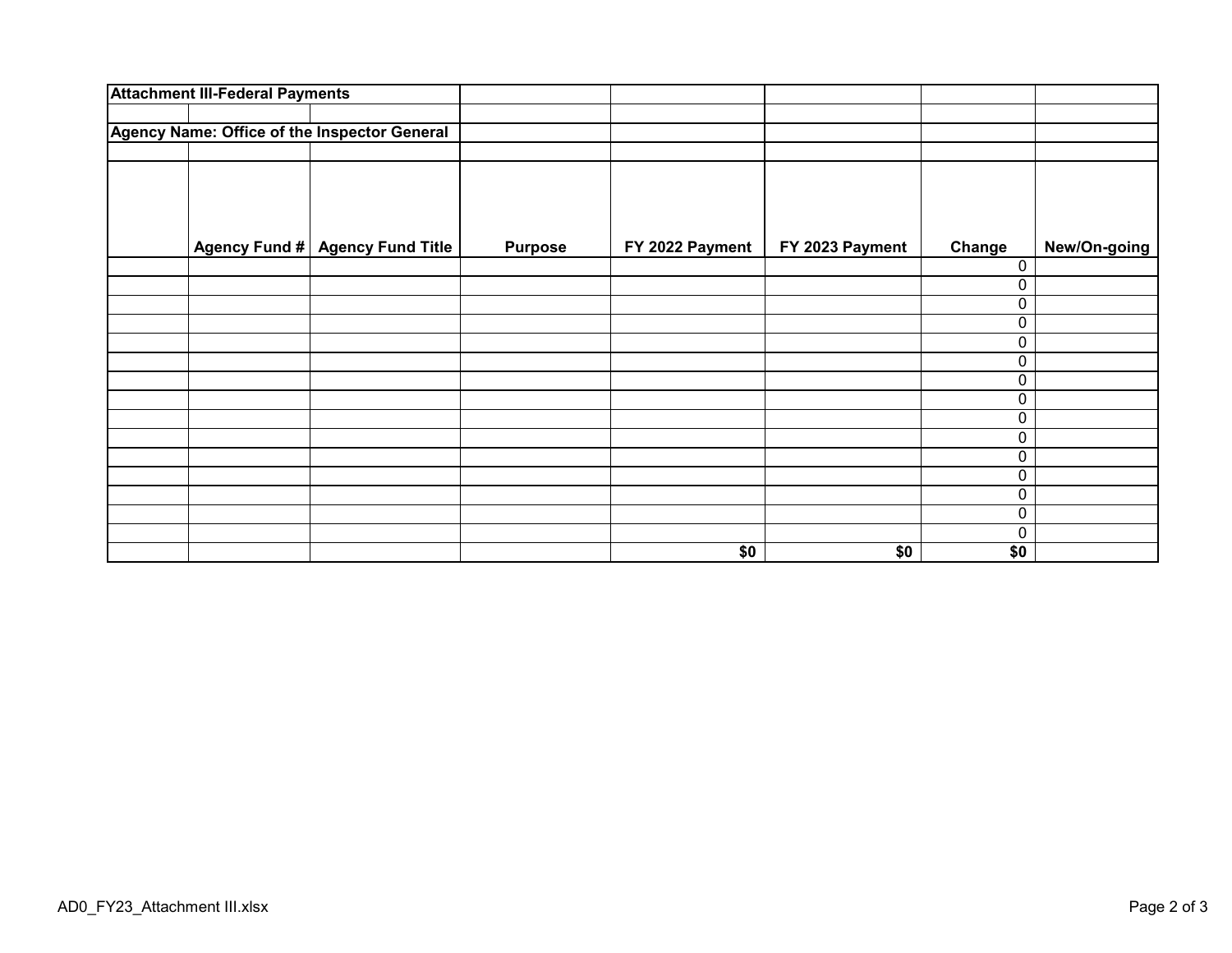| <b>Attachment III-Federal Payments</b>       |                          |                |                 |                 |        |              |
|----------------------------------------------|--------------------------|----------------|-----------------|-----------------|--------|--------------|
| Agency Name: Office of the Inspector General |                          |                |                 |                 |        |              |
|                                              |                          |                |                 |                 |        |              |
| <b>Agency Fund #</b>                         | <b>Agency Fund Title</b> | <b>Purpose</b> | FY 2022 Payment | FY 2023 Payment | Change | New/On-going |
|                                              |                          |                |                 |                 | 0      |              |
|                                              |                          |                |                 |                 | 0      |              |
|                                              |                          |                |                 |                 | 0<br>0 |              |
|                                              |                          |                |                 |                 | 0      |              |
|                                              |                          |                |                 |                 | 0      |              |
|                                              |                          |                |                 |                 | 0      |              |
|                                              |                          |                |                 |                 | 0      |              |
|                                              |                          |                |                 |                 | 0      |              |
|                                              |                          |                |                 |                 | 0      |              |
|                                              |                          |                |                 |                 | 0      |              |
|                                              |                          |                |                 |                 | 0      |              |
|                                              |                          |                |                 |                 | 0      |              |
|                                              |                          |                |                 |                 | 0      |              |
|                                              |                          |                |                 |                 | 0      |              |
|                                              |                          |                | \$0             | \$0             | \$0    |              |